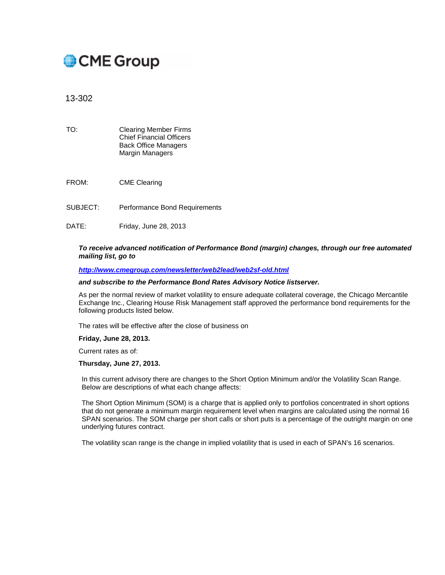# CME Group

13-302

- TO: Clearing Member Firms Chief Financial Officers Back Office Managers Margin Managers
- FROM: CME Clearing
- SUBJECT: Performance Bond Requirements
- DATE: Friday, June 28, 2013

### *To receive advanced notification of Performance Bond (margin) changes, through our free automated mailing list, go to*

#### *<http://www.cmegroup.com/newsletter/web2lead/web2sf-old.html>*

#### *and subscribe to the Performance Bond Rates Advisory Notice listserver.*

As per the normal review of market volatility to ensure adequate collateral coverage, the Chicago Mercantile Exchange Inc., Clearing House Risk Management staff approved the performance bond requirements for the following products listed below.

The rates will be effective after the close of business on

#### **Friday, June 28, 2013.**

Current rates as of:

#### **Thursday, June 27, 2013.**

In this current advisory there are changes to the Short Option Minimum and/or the Volatility Scan Range. Below are descriptions of what each change affects:

The Short Option Minimum (SOM) is a charge that is applied only to portfolios concentrated in short options that do not generate a minimum margin requirement level when margins are calculated using the normal 16 SPAN scenarios. The SOM charge per short calls or short puts is a percentage of the outright margin on one underlying futures contract.

The volatility scan range is the change in implied volatility that is used in each of SPAN's 16 scenarios.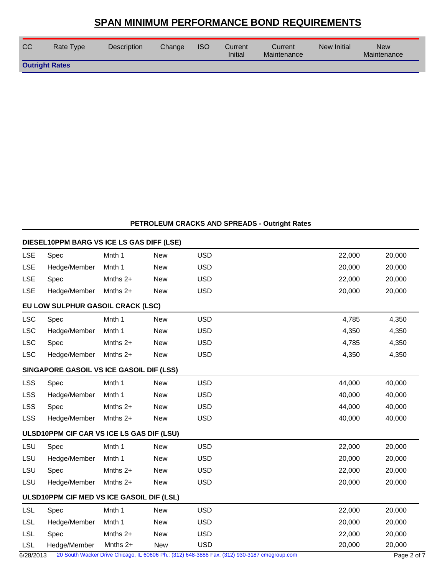| <b>CC</b>             | Rate Type | <b>Description</b> | Change | <b>ISO</b> | Current<br>Initial | Current<br>Maintenance | New Initial | <b>New</b><br>Maintenance |
|-----------------------|-----------|--------------------|--------|------------|--------------------|------------------------|-------------|---------------------------|
| <b>Outright Rates</b> |           |                    |        |            |                    |                        |             |                           |

### **PETROLEUM CRACKS AND SPREADS - Outright Rates**

|            | DIESEL10PPM BARG VS ICE LS GAS DIFF (LSE) |            |            |                                                                                              |        |             |
|------------|-------------------------------------------|------------|------------|----------------------------------------------------------------------------------------------|--------|-------------|
| <b>LSE</b> | Spec                                      | Mnth 1     | <b>New</b> | <b>USD</b>                                                                                   | 22,000 | 20,000      |
| <b>LSE</b> | Hedge/Member                              | Mnth 1     | <b>New</b> | <b>USD</b>                                                                                   | 20,000 | 20,000      |
| <b>LSE</b> | Spec                                      | Mnths 2+   | <b>New</b> | <b>USD</b>                                                                                   | 22,000 | 20,000      |
| LSE        | Hedge/Member                              | Mnths 2+   | <b>New</b> | <b>USD</b>                                                                                   | 20,000 | 20,000      |
|            | EU LOW SULPHUR GASOIL CRACK (LSC)         |            |            |                                                                                              |        |             |
| <b>LSC</b> | Spec                                      | Mnth 1     | <b>New</b> | <b>USD</b>                                                                                   | 4,785  | 4,350       |
| <b>LSC</b> | Hedge/Member                              | Mnth 1     | <b>New</b> | <b>USD</b>                                                                                   | 4,350  | 4,350       |
| <b>LSC</b> | Spec                                      | Mnths 2+   | <b>New</b> | <b>USD</b>                                                                                   | 4,785  | 4,350       |
| <b>LSC</b> | Hedge/Member                              | Mnths $2+$ | <b>New</b> | <b>USD</b>                                                                                   | 4,350  | 4,350       |
|            | SINGAPORE GASOIL VS ICE GASOIL DIF (LSS)  |            |            |                                                                                              |        |             |
| <b>LSS</b> | Spec                                      | Mnth 1     | <b>New</b> | <b>USD</b>                                                                                   | 44,000 | 40,000      |
| <b>LSS</b> | Hedge/Member                              | Mnth 1     | <b>New</b> | <b>USD</b>                                                                                   | 40,000 | 40,000      |
| <b>LSS</b> | Spec                                      | Mnths 2+   | <b>New</b> | <b>USD</b>                                                                                   | 44,000 | 40,000      |
| <b>LSS</b> | Hedge/Member                              | Mnths $2+$ | <b>New</b> | <b>USD</b>                                                                                   | 40,000 | 40,000      |
|            | ULSD10PPM CIF CAR VS ICE LS GAS DIF (LSU) |            |            |                                                                                              |        |             |
| LSU        | Spec                                      | Mnth 1     | <b>New</b> | <b>USD</b>                                                                                   | 22,000 | 20,000      |
| LSU        | Hedge/Member                              | Mnth 1     | <b>New</b> | <b>USD</b>                                                                                   | 20,000 | 20,000      |
| LSU        | Spec                                      | Mnths 2+   | <b>New</b> | <b>USD</b>                                                                                   | 22,000 | 20,000      |
| LSU        | Hedge/Member                              | Mnths $2+$ | <b>New</b> | <b>USD</b>                                                                                   | 20,000 | 20,000      |
|            | ULSD10PPM CIF MED VS ICE GASOIL DIF (LSL) |            |            |                                                                                              |        |             |
| <b>LSL</b> | Spec                                      | Mnth 1     | <b>New</b> | <b>USD</b>                                                                                   | 22,000 | 20,000      |
| <b>LSL</b> | Hedge/Member                              | Mnth 1     | <b>New</b> | <b>USD</b>                                                                                   | 20,000 | 20,000      |
| <b>LSL</b> | Spec                                      | Mnths 2+   | <b>New</b> | <b>USD</b>                                                                                   | 22,000 | 20,000      |
| <b>LSL</b> | Hedge/Member                              | Mnths 2+   | <b>New</b> | <b>USD</b>                                                                                   | 20,000 | 20,000      |
| 6/28/2013  |                                           |            |            | 20 South Wacker Drive Chicago, IL 60606 Ph.: (312) 648-3888 Fax: (312) 930-3187 cmegroup.com |        | Page 2 of 7 |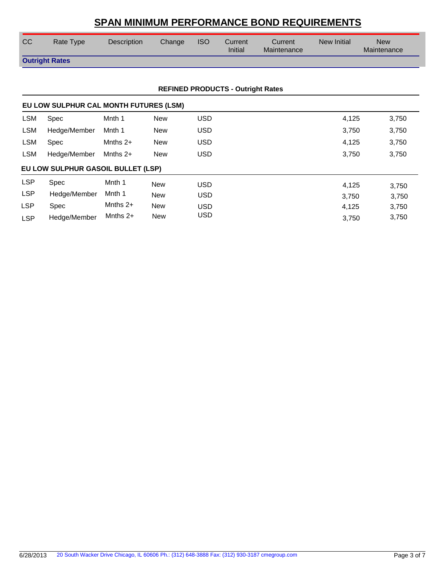| CC                    | Rate Type | <b>Description</b> | Change | <b>ISO</b> | Current<br><b>Initial</b> | Current<br>Maintenance | New Initial | <b>New</b><br>Maintenance |
|-----------------------|-----------|--------------------|--------|------------|---------------------------|------------------------|-------------|---------------------------|
| <b>Outright Rates</b> |           |                    |        |            |                           |                        |             |                           |

### **REFINED PRODUCTS - Outright Rates**

|            | EU LOW SULPHUR CAL MONTH FUTURES (LSM) |            |            |            |                |  |
|------------|----------------------------------------|------------|------------|------------|----------------|--|
| <b>LSM</b> | Spec                                   | Mnth 1     | <b>New</b> | <b>USD</b> | 4,125<br>3,750 |  |
| <b>LSM</b> | Hedge/Member                           | Mnth 1     | <b>New</b> | <b>USD</b> | 3,750<br>3,750 |  |
| LSM        | <b>Spec</b>                            | Mnths $2+$ | New        | <b>USD</b> | 4,125<br>3,750 |  |
| LSM        | Hedge/Member                           | Mnths $2+$ | <b>New</b> | <b>USD</b> | 3,750<br>3,750 |  |
|            | EU LOW SULPHUR GASOIL BULLET (LSP)     |            |            |            |                |  |
| <b>LSP</b> | Spec                                   | Mnth 1     | <b>New</b> | <b>USD</b> | 4,125<br>3,750 |  |
| <b>LSP</b> | Hedge/Member                           | Mnth 1     | <b>New</b> | <b>USD</b> | 3.750<br>3,750 |  |
| <b>LSP</b> | Spec                                   | Mnths $2+$ | <b>New</b> | <b>USD</b> | 4.125<br>3,750 |  |
| <b>LSP</b> | Hedge/Member                           | Mnths $2+$ | <b>New</b> | USD        | 3,750<br>3.750 |  |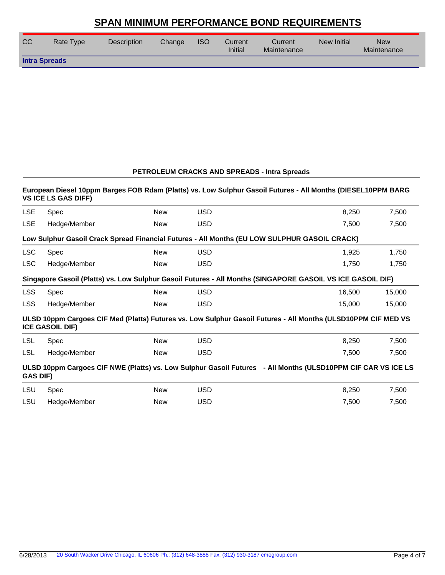| <b>CC</b>            | Rate Type | <b>Description</b> | Change | <b>ISO</b> | Current<br>Initial | Current<br>Maintenance | New Initial | <b>New</b><br>Maintenance |
|----------------------|-----------|--------------------|--------|------------|--------------------|------------------------|-------------|---------------------------|
| <b>Intra Spreads</b> |           |                    |        |            |                    |                        |             |                           |

### **PETROLEUM CRACKS AND SPREADS - Intra Spreads**

### **European Diesel 10ppm Barges FOB Rdam (Platts) vs. Low Sulphur Gasoil Futures - All Months (DIESEL10PPM BARG VS ICE LS GAS DIFF)**

| <b>LSE</b>      | Spec                                                                                         | New        | <b>USD</b> | 8,250                                                                                                         | 7,500  |  |  |  |  |  |  |
|-----------------|----------------------------------------------------------------------------------------------|------------|------------|---------------------------------------------------------------------------------------------------------------|--------|--|--|--|--|--|--|
| <b>LSE</b>      | Hedge/Member                                                                                 | <b>New</b> | <b>USD</b> | 7,500                                                                                                         | 7,500  |  |  |  |  |  |  |
|                 | Low Sulphur Gasoil Crack Spread Financial Futures - All Months (EU LOW SULPHUR GASOIL CRACK) |            |            |                                                                                                               |        |  |  |  |  |  |  |
| <b>LSC</b>      | Spec                                                                                         | <b>New</b> | <b>USD</b> | 1,925                                                                                                         | 1,750  |  |  |  |  |  |  |
| <b>LSC</b>      | Hedge/Member                                                                                 | <b>New</b> | <b>USD</b> | 1,750                                                                                                         | 1,750  |  |  |  |  |  |  |
|                 |                                                                                              |            |            | Singapore Gasoil (Platts) vs. Low Sulphur Gasoil Futures - All Months (SINGAPORE GASOIL VS ICE GASOIL DIF)    |        |  |  |  |  |  |  |
| <b>LSS</b>      | Spec                                                                                         | <b>New</b> | <b>USD</b> | 16,500                                                                                                        | 15,000 |  |  |  |  |  |  |
| <b>LSS</b>      | Hedge/Member                                                                                 | New        | <b>USD</b> | 15,000                                                                                                        | 15,000 |  |  |  |  |  |  |
|                 | <b>ICE GASOIL DIF)</b>                                                                       |            |            | ULSD 10ppm Cargoes CIF Med (Platts) Futures vs. Low Sulphur Gasoil Futures - All Months (ULSD10PPM CIF MED VS |        |  |  |  |  |  |  |
| LSL             | Spec                                                                                         | <b>New</b> | <b>USD</b> | 8,250                                                                                                         | 7,500  |  |  |  |  |  |  |
| LSL             | Hedge/Member                                                                                 | New        | <b>USD</b> | 7,500                                                                                                         | 7,500  |  |  |  |  |  |  |
| <b>GAS DIF)</b> |                                                                                              |            |            | ULSD 10ppm Cargoes CIF NWE (Platts) vs. Low Sulphur Gasoil Futures - All Months (ULSD10PPM CIF CAR VS ICE LS  |        |  |  |  |  |  |  |
| <b>LSU</b>      | Spec                                                                                         | <b>New</b> | <b>USD</b> | 8,250                                                                                                         | 7,500  |  |  |  |  |  |  |
| LSU             | Hedge/Member                                                                                 | New        | <b>USD</b> | 7,500                                                                                                         | 7,500  |  |  |  |  |  |  |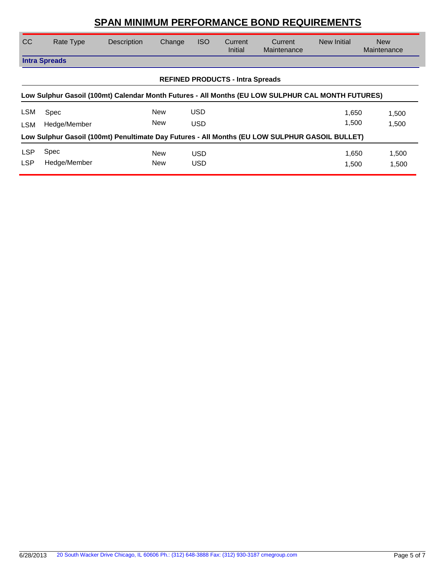| <sub>CC</sub> | Rate Type                                                                                         | Description                                                                                    | Change | <b>ISO</b> | Current<br>Initial                      | Current<br>Maintenance | New Initial | <b>New</b><br>Maintenance |
|---------------|---------------------------------------------------------------------------------------------------|------------------------------------------------------------------------------------------------|--------|------------|-----------------------------------------|------------------------|-------------|---------------------------|
|               | <b>Intra Spreads</b>                                                                              |                                                                                                |        |            |                                         |                        |             |                           |
|               |                                                                                                   |                                                                                                |        |            | <b>REFINED PRODUCTS - Intra Spreads</b> |                        |             |                           |
|               | Low Sulphur Gasoil (100mt) Calendar Month Futures - All Months (EU LOW SULPHUR CAL MONTH FUTURES) |                                                                                                |        |            |                                         |                        |             |                           |
| <b>LSM</b>    | Spec                                                                                              |                                                                                                | New    | <b>USD</b> |                                         |                        | 1,650       | 1,500                     |
| <b>LSM</b>    | Hedge/Member                                                                                      |                                                                                                | New    | <b>USD</b> |                                         |                        | 1.500       | 1,500                     |
|               |                                                                                                   | Low Sulphur Gasoil (100mt) Penultimate Day Futures - All Months (EU LOW SULPHUR GASOIL BULLET) |        |            |                                         |                        |             |                           |
| <b>LSP</b>    | Spec                                                                                              |                                                                                                | New    | <b>USD</b> |                                         |                        | 1,650       | 1,500                     |
| <b>LSP</b>    | Hedge/Member                                                                                      |                                                                                                | New    | <b>USD</b> |                                         |                        | 1.500       | 1,500                     |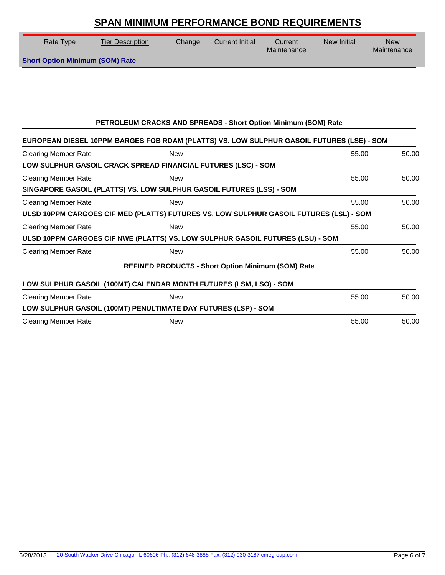| Rate Type                              | <b>Tier Description</b> | Change | Current Initial | Current<br>Maintenance | New Initial | <b>New</b><br>Maintenance |
|----------------------------------------|-------------------------|--------|-----------------|------------------------|-------------|---------------------------|
| <b>Short Option Minimum (SOM) Rate</b> |                         |        |                 |                        |             |                           |

### **PETROLEUM CRACKS AND SPREADS - Short Option Minimum (SOM) Rate**

| EUROPEAN DIESEL 10PPM BARGES FOB RDAM (PLATTS) VS. LOW SULPHUR GASOIL FUTURES (LSE) - SOM |            |                                                           |       |       |
|-------------------------------------------------------------------------------------------|------------|-----------------------------------------------------------|-------|-------|
| <b>Clearing Member Rate</b>                                                               | <b>New</b> |                                                           | 55.00 | 50.00 |
| LOW SULPHUR GASOIL CRACK SPREAD FINANCIAL FUTURES (LSC) - SOM                             |            |                                                           |       |       |
| <b>Clearing Member Rate</b>                                                               | <b>New</b> |                                                           | 55.00 | 50.00 |
| SINGAPORE GASOIL (PLATTS) VS. LOW SULPHUR GASOIL FUTURES (LSS) - SOM                      |            |                                                           |       |       |
| <b>Clearing Member Rate</b>                                                               | <b>New</b> |                                                           | 55.00 | 50.00 |
| ULSD 10PPM CARGOES CIF MED (PLATTS) FUTURES VS. LOW SULPHUR GASOIL FUTURES (LSL) - SOM    |            |                                                           |       |       |
| <b>Clearing Member Rate</b>                                                               | <b>New</b> |                                                           | 55.00 | 50.00 |
| ULSD 10PPM CARGOES CIF NWE (PLATTS) VS. LOW SULPHUR GASOIL FUTURES (LSU) - SOM            |            |                                                           |       |       |
| <b>Clearing Member Rate</b>                                                               | <b>New</b> |                                                           | 55.00 | 50.00 |
|                                                                                           |            | <b>REFINED PRODUCTS - Short Option Minimum (SOM) Rate</b> |       |       |
| LOW SULPHUR GASOIL (100MT) CALENDAR MONTH FUTURES (LSM, LSO) - SOM                        |            |                                                           |       |       |
| <b>Clearing Member Rate</b>                                                               | <b>New</b> |                                                           | 55.00 | 50.00 |
| LOW SULPHUR GASOIL (100MT) PENULTIMATE DAY FUTURES (LSP) - SOM                            |            |                                                           |       |       |
| <b>Clearing Member Rate</b>                                                               | <b>New</b> |                                                           | 55.00 | 50.00 |